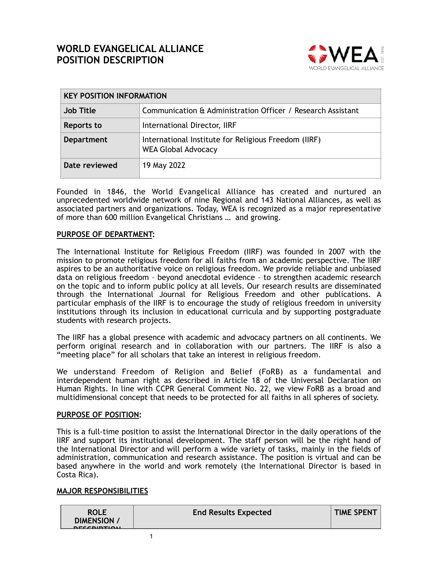# **WORLD EVANGELICAL ALLIANCE POSITION DESCRIPTION**



| <b>KEY POSITION INFORMATION</b> |                                                                                    |  |
|---------------------------------|------------------------------------------------------------------------------------|--|
| <b>Job Title</b>                | Communication & Administration Officer / Research Assistant                        |  |
| Reports to                      | International Director, IIRF                                                       |  |
| Department                      | International Institute for Religious Freedom (IIRF)<br><b>WEA Global Advocacy</b> |  |
| Date reviewed                   | 19 May 2022                                                                        |  |

Founded in 1846, the World Evangelical Alliance has created and nurtured an unprecedented worldwide network of nine Regional and 143 National Alliances, as well as associated partners and organizations. Today, WEA is recognized as a major representative of more than 600 million Evangelical Christians … and growing.

#### **PURPOSE OF DEPARTMENT:**

The International Institute for Religious Freedom (IIRF) was founded in 2007 with the mission to promote religious freedom for all faiths from an academic perspective. The IIRF aspires to be an authoritative voice on religious freedom. We provide reliable and unbiased data on religious freedom – beyond anecdotal evidence – to strengthen academic research on the topic and to inform public policy at all levels. Our research results are disseminated through the International Journal for Religious Freedom and other publications. A particular emphasis of the IIRF is to encourage the study of religious freedom in university institutions through its inclusion in educational curricula and by supporting postgraduate students with research projects.

The IIRF has a global presence with academic and advocacy partners on all continents. We perform original research and in collaboration with our partners. The IIRF is also a "meeting place" for all scholars that take an interest in religious freedom.

We understand Freedom of Religion and Belief (FoRB) as a fundamental and interdependent human right as described in Article 18 of the Universal Declaration on Human Rights. In line with CCPR General Comment No. 22, we view FoRB as a broad and multidimensional concept that needs to be protected for all faiths in all spheres of society.

#### **PURPOSE OF POSITION:**

This is a full-time position to assist the International Director in the daily operations of the IIRF and support its institutional development. The staff person will be the right hand of the International Director and will perform a wide variety of tasks, mainly in the fields of administration, communication and research assistance. The position is virtual and can be based anywhere in the world and work remotely (the International Director is based in Costa Rica).

#### **MAJOR RESPONSIBILITIES**

 $\sim$  1

| <b>ROLE</b><br><b>DIMENSION</b><br><b>DECCRIPTION</b> | <b>End Results Expected</b> | <b>TIME SPENT</b> |
|-------------------------------------------------------|-----------------------------|-------------------|
|                                                       |                             |                   |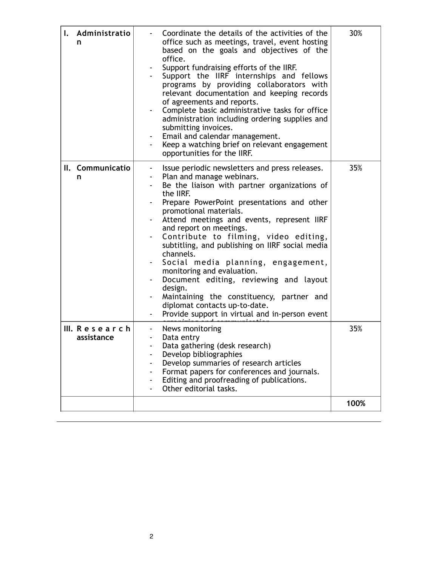| I. Administratio<br>n       | Coordinate the details of the activities of the<br>office such as meetings, travel, event hosting<br>based on the goals and objectives of the<br>office.<br>Support fundraising efforts of the IIRF.<br>Support the IIRF internships and fellows<br>programs by providing collaborators with<br>relevant documentation and keeping records<br>of agreements and reports.<br>Complete basic administrative tasks for office<br>administration including ordering supplies and<br>submitting invoices.<br>Email and calendar management.<br>Keep a watching brief on relevant engagement<br>opportunities for the IIRF.                                       | 30%  |
|-----------------------------|-------------------------------------------------------------------------------------------------------------------------------------------------------------------------------------------------------------------------------------------------------------------------------------------------------------------------------------------------------------------------------------------------------------------------------------------------------------------------------------------------------------------------------------------------------------------------------------------------------------------------------------------------------------|------|
| II. Communicatio<br>n       | Issue periodic newsletters and press releases.<br>Plan and manage webinars.<br>Be the liaison with partner organizations of<br>the IIRF.<br>Prepare PowerPoint presentations and other<br>promotional materials.<br>Attend meetings and events, represent IIRF<br>and report on meetings.<br>Contribute to filming, video editing,<br>subtitling, and publishing on IIRF social media<br>channels.<br>Social media planning, engagement,<br>monitoring and evaluation.<br>Document editing, reviewing and layout<br>design.<br>Maintaining the constituency, partner and<br>diplomat contacts up-to-date.<br>Provide support in virtual and in-person event | 35%  |
| III. Research<br>assistance | News monitoring<br>Data entry<br>Data gathering (desk research)<br>Develop bibliographies<br>Develop summaries of research articles<br>Format papers for conferences and journals.<br>Editing and proofreading of publications.<br>Other editorial tasks.                                                                                                                                                                                                                                                                                                                                                                                                   | 35%  |
|                             |                                                                                                                                                                                                                                                                                                                                                                                                                                                                                                                                                                                                                                                             | 100% |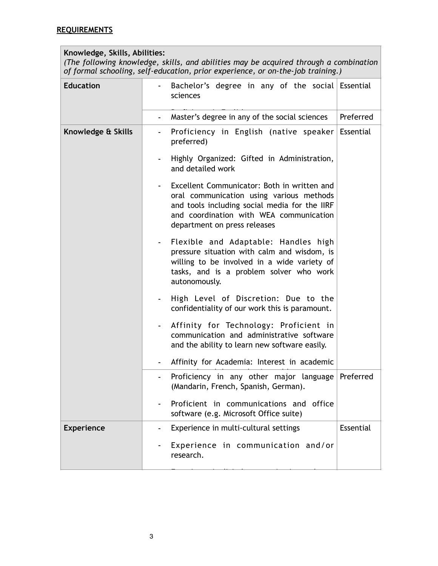## **Knowledge, Skills, Abilities:**

*(The following knowledge, skills, and abilities may be acquired through a combination of formal schooling, self-education, prior experience, or on-the-job training.)*

| <b>Education</b>   | Bachelor's degree in any of the social Essential<br>sciences                                                                                                                                                        |           |
|--------------------|---------------------------------------------------------------------------------------------------------------------------------------------------------------------------------------------------------------------|-----------|
|                    | Master's degree in any of the social sciences<br>$\overline{\phantom{0}}$                                                                                                                                           | Preferred |
| Knowledge & Skills | Proficiency in English (native speaker Essential<br>preferred)                                                                                                                                                      |           |
|                    | Highly Organized: Gifted in Administration,<br>and detailed work                                                                                                                                                    |           |
|                    | Excellent Communicator: Both in written and<br>oral communication using various methods<br>and tools including social media for the IIRF<br>and coordination with WEA communication<br>department on press releases |           |
|                    | Flexible and Adaptable: Handles high<br>pressure situation with calm and wisdom, is<br>willing to be involved in a wide variety of<br>tasks, and is a problem solver who work<br>autonomously.                      |           |
|                    | High Level of Discretion: Due to the<br>confidentiality of our work this is paramount.                                                                                                                              |           |
|                    | Affinity for Technology: Proficient in<br>communication and administrative software<br>and the ability to learn new software easily.                                                                                |           |
|                    | Affinity for Academia: Interest in academic                                                                                                                                                                         |           |
|                    | Proficiency in any other major language Preferred<br>(Mandarin, French, Spanish, German).                                                                                                                           |           |
|                    | Proficient in communications and office<br>software (e.g. Microsoft Office suite)                                                                                                                                   |           |
| <b>Experience</b>  | Experience in multi-cultural settings                                                                                                                                                                               | Essential |
|                    | Experience in communication and/or<br>research.                                                                                                                                                                     |           |

- Experience in digital communication tools.